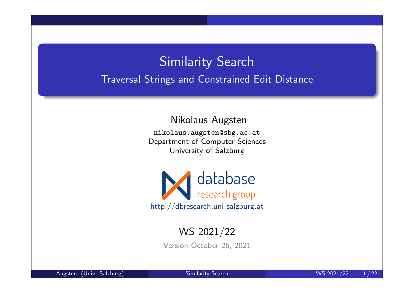# Similarity Search Traversal Strings and Constrained Edit Distance

Nikolaus Augsten

nikolaus.augsten@sbg.ac.at Department of Computer Sciences University of Salzburg



#### WS 2021/22

Version October 26, 2021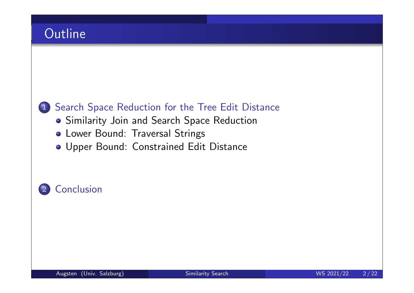## **Outline**

#### 1 Search Space Reduction for the Tree Edit Distance

- **Similarity Join and Search Space Reduction**
- Lower Bound: Traversal Strings
- Upper Bound: Constrained Edit Distance

### 2 Conclusion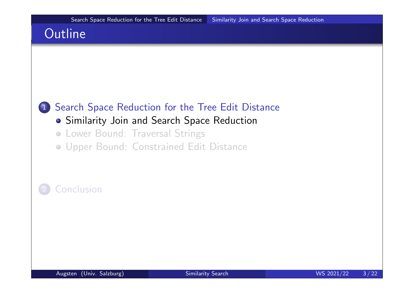## **Outline**

#### 1 Search Space Reduction for the Tree Edit Distance

#### **•** Similarity Join and Search Space Reduction

- **Lower Bound: Traversal Strings**
- Upper Bound: Constrained Edit Distance

### **Conclusion**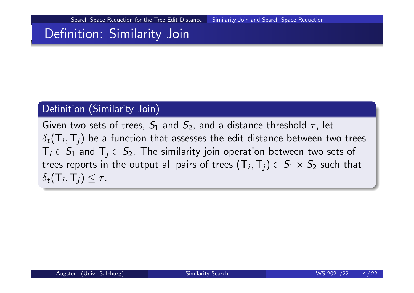Search Space Reduction for the Tree Edit Distance Similarity Join and Search Space Reduction

## Definition: Similarity Join

#### Definition (Similarity Join)

Given two sets of trees,  $S_1$  and  $S_2$ , and a distance threshold  $\tau$ , let  $\delta_t(\mathsf{T}_i,\mathsf{T}_j)$  be a function that assesses the edit distance between two trees  $\textsf{T}_i\in\mathcal{S}_1$  and  $\textsf{T}_j\in\mathcal{S}_2.$  The similarity join operation between two sets of trees reports in the output all pairs of trees  $(\mathsf{T}_i,\mathsf{T}_j)\in \mathcal{S}_1\times \mathcal{S}_2$  such that  $\delta_t(\mathsf{T}_i,\mathsf{T}_j) \leq \tau.$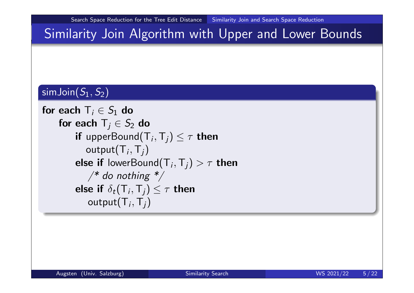## Similarity Join Algorithm with Upper and Lower Bounds

### $\mathsf{simJoin}( \mathcal{S}_1, \mathcal{S}_2)$

```
for each \mathsf{T}_i \in \mathcal{S}_1 do
for each \mathsf{T}_j\in S_2 do
        if upper\mathsf{Bound}(\mathsf{T}_i, \mathsf{T}_j) \leq \tau then
             \mathsf{output}(\mathsf{T}_i, \mathsf{T}_j)else if lowerBound({\mathsf T}_i,{\mathsf T}_j)>\tau then
             \frac{4}{3} do nothing \frac{4}{3}else if \delta_t(\mathsf{T}_i,\mathsf{T}_j) \leq \tau then
              \mathsf{output}(\mathsf{T}_i, \mathsf{T}_j)
```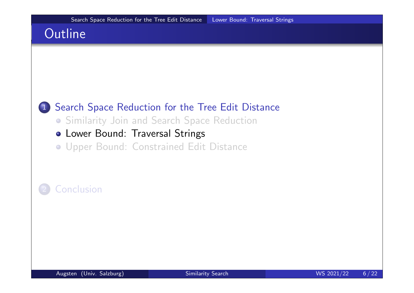## **Outline**

#### 1 Search Space Reduction for the Tree Edit Distance

- Similarity Join and Search Space Reduction
- Lower Bound: Traversal Strings
- Upper Bound: Constrained Edit Distance

#### **Conclusion**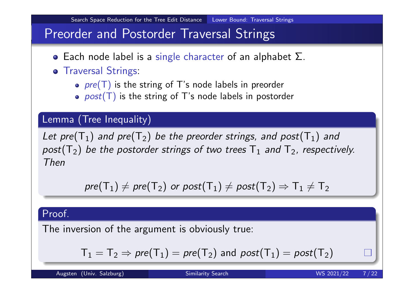## Preorder and Postorder Traversal Strings

**•** Each node label is a single character of an alphabet  $\Sigma$ .

#### **o** Traversal Strings:

- $pre(T)$  is the string of T's node labels in preorder
- $post(T)$  is the string of T's node labels in postorder

#### Lemma (Tree Inequality)

Let pre $\left(T_{1}\right)$  and pre $\left(T_{2}\right)$  be the preorder strings, and post $\left(T_{1}\right)$  and  $post(\mathsf{T}_2)$  be the postorder strings of two trees  $\mathsf{T}_1$  and  $\mathsf{T}_2$ , respectively. Then

$$
\textit{pre}(T_1) \neq \textit{pre}(T_2) \textit{ or } \textit{post}(T_1) \neq \textit{post}(T_2) \Rightarrow T_1 \neq T_2
$$

#### Proof.

The inversion of the argument is obviously true:

$$
\mathsf{T}_1=\mathsf{T}_2 \Rightarrow \mathit{pre}(\mathsf{T}_1)=\mathit{pre}(\mathsf{T}_2) \text{ and } \mathit{post}(\mathsf{T}_1)=\mathit{post}(\mathsf{T}_2)
$$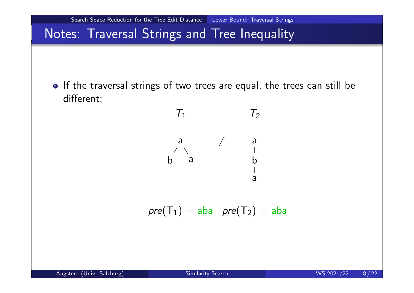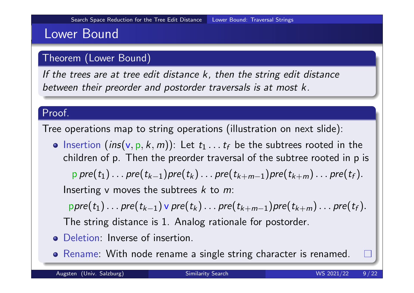## Lower Bound

#### Theorem (Lower Bound)

If the trees are at tree edit distance k, then the string edit distance between their preorder and postorder traversals is at most k.

#### Proof.

Tree operations map to string operations (illustration on next slide):

Insertion  $(\mathsf{ins}(v, p, k, m))$ : Let  $t_1 \ldots t_f$  be the subtrees rooted in the children of p. Then the preorder traversal of the subtree rooted in p is  $p \, \mathit{pre}(t_1) \ldots \mathit{pre}(t_{k-1}) \mathit{pre}(t_k) \ldots \mathit{pre}(t_{k+m-1}) \mathit{pre}(t_{k+m}) \ldots \mathit{pre}(t_f).$ 

Inserting v moves the subtrees  $k$  to  $m$ :

 $\mathsf{ppre}(t_1)\ldots \mathsf{pre}(t_{k-1}) \lor \mathsf{pre}(t_k)\ldots \mathsf{pre}(t_{k+m-1}) \mathsf{pre}(t_{k+m})\ldots \mathsf{pre}(t_\mathsf{f}).$ The string distance is 1. Analog rationale for postorder.

- Deletion: Inverse of insertion.
- o Rename: With node rename a single string character is renamed.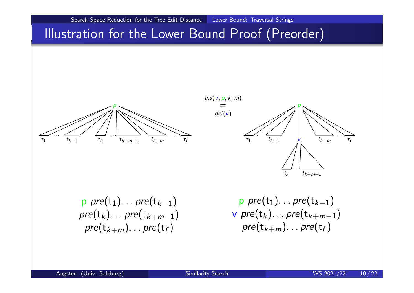

### Illustration for the Lower Bound Proof (Preorder)





 $p \ pre(t_1) \ldots pre(t_{k-1})$  $pre(t_k)$ ... $pre(t_{k+m-1})$  $\mathop{pre}(\mathsf{t}_{k+m})_{\cdots}$  pre $(\mathsf{t}_{f})$ 

 $p \ pre(t_1) \dots pre(t_{k-1})$  ${\sf v}\,$  pre $({\sf t}_k)_{\cdots}$  pre $({\sf t}_{k+m-1})$  $\mathop{pre}(\mathsf{t}_{k+m})_{\cdots}$  pre $(\mathsf{t}_{f})$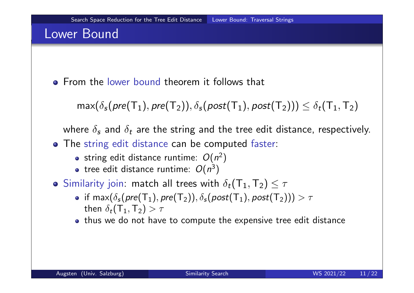## Lower Bound

**• From the lower bound theorem it follows that** 

 $max(\delta_{s}(pre(T_1), pre(T_2)), \delta_{s}(post(T_1), post(T_2))) \leq \delta_{t}(T_1, T_2)$ 

where  $\delta_{\bm{s}}$  and  $\delta_{\bm{t}}$  are the string and the tree edit distance, respectively.

- The string edit distance can be computed faster:
	- string edit distance runtime:  $O(n^2)$
	- tree edit distance runtime:  $O(n^3)$
- Similarity join: match all trees with  $\delta_t(\mathsf{T}_1,\mathsf{T}_2) \leq \tau$ 
	- if  $\mathsf{max}(\delta_\mathsf{s}(\mathit{pre}(\mathsf{T}_1), \mathit{pre}(\mathsf{T}_2)), \delta_\mathsf{s}(\mathit{post}(\mathsf{T}_1), \mathit{post}(\mathsf{T}_2))) > \tau$ then  $\delta_t(\mathsf{T}_1,\mathsf{T}_2) > \tau$
	- thus we do not have to compute the expensive tree edit distance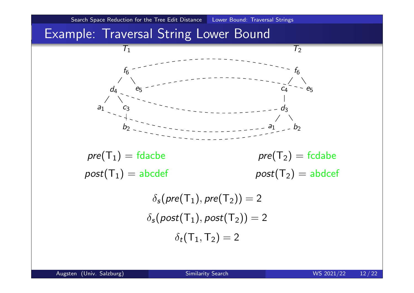

## Example: Traversal String Lower Bound

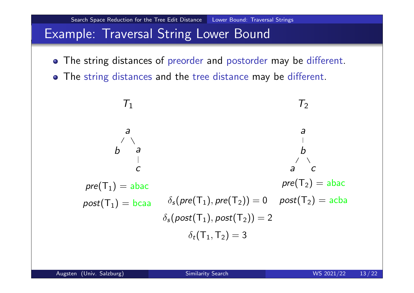Search Space Reduction for the Tree Edit Distance Lower Bound: Traversal Strings

## Example: Traversal String Lower Bound

- The string distances of preorder and postorder may be different.
- The string distances and the tree distance may be different.

$$
T_1
$$
  
\n
$$
a
$$
  
\n
$$
b
$$
  
\n
$$
b
$$
  
\n
$$
c
$$
  
\n
$$
pre(T_1) = abac
$$
  
\n
$$
post(T_1) = bcaa
$$
  
\n
$$
δ_s(pre(T_1), pre(T_2)) = 0
$$
  
\n
$$
post(T_2) = abac
$$
  
\n
$$
δ_s(post(T_1), post(T_2)) = 2
$$
  
\n
$$
δ_t(T_1, T_2) = 3
$$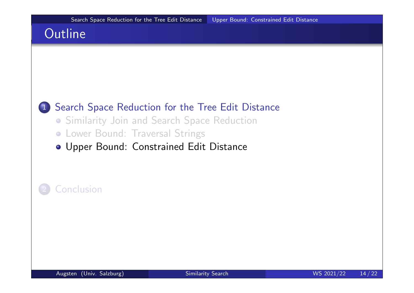## **Outline**

#### 1 Search Space Reduction for the Tree Edit Distance

- Similarity Join and Search Space Reduction
- **Lower Bound: Traversal Strings**
- Upper Bound: Constrained Edit Distance

#### **Conclusion**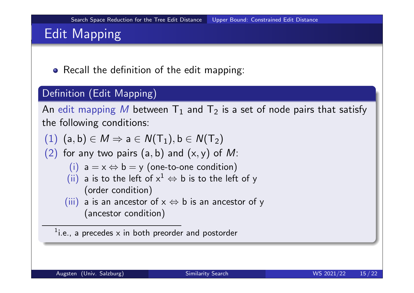# Edit Mapping

• Recall the definition of the edit mapping:

#### Definition (Edit Mapping)

An edit mapping  $M$  between  ${\mathsf T}_1$  and  ${\mathsf T}_2$  is a set of node pairs that satisfy the following conditions:

- $(1)$   $(a,b) \in M \Rightarrow a \in N(T_1), b \in N(T_2)$
- (2) for any two pairs  $(a, b)$  and  $(x, y)$  of M:

(i) 
$$
a = x \Leftrightarrow b = y
$$
 (one-to-one condition)

- (ii) a is to the left of  $x^1 \Leftrightarrow b$  is to the left of y (order condition)
- (iii) a is an ancestor of  $x \Leftrightarrow b$  is an ancestor of y (ancestor condition)

 $1$ i.e., a precedes x in both preorder and postorder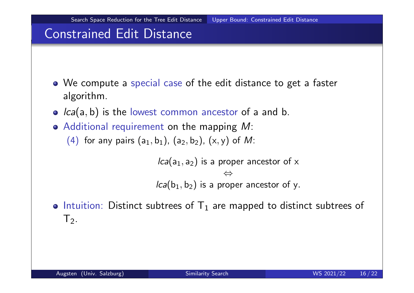## Constrained Edit Distance

- We compute a special case of the edit distance to get a faster algorithm.
- $\bullet$   $lca(a, b)$  is the lowest common ancestor of a and b.
- $\bullet$  Additional requirement on the mapping M:
	- (4) for any pairs  $(a_1, b_1)$ ,  $(a_2, b_2)$ ,  $(x, y)$  of M:

 $lca(a_1, a_2)$  is a proper ancestor of  $\times$ ⇔  $lca(b_1, b_2)$  is a proper ancestor of y.

Intuition: Distinct subtrees of  $T_1$  are mapped to distinct subtrees of  $T<sub>2</sub>$ .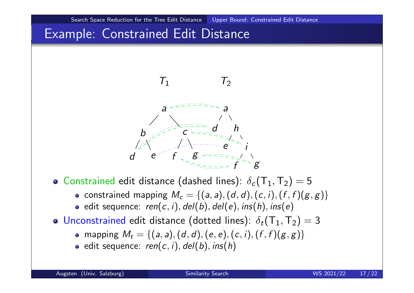## Example: Constrained Edit Distance

 $\overline{d}$ 



g



f

• constrained mapping  $M_c = \{(a, a), (d, d), (c, i), (f, f)(g, g)\}\$ 

 $\int_{0}^{+\infty} g$ 

- edit sequence:  $ren(c, i), del(b), del(e), ins(h), ins(e)$
- Unconstrained edit distance (dotted lines):  $\delta_t(\mathsf{T}_1,\mathsf{T}_2) = 3$ 
	- mapping  $M_t = \{(a, a), (d, d), (e, e), (c, i), (f, f)(g, g)\}\$
	- $\bullet$  edit sequence: ren(c, i), del(b), ins(h)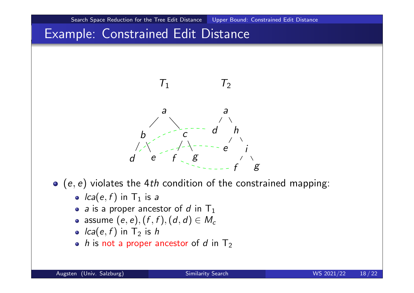## Example: Constrained Edit Distance



- $\bullet$  (e, e) violates the 4th condition of the constrained mapping:
	- $lca(e, f)$  in  $T_1$  is a
	- a is a proper ancestor of d in  $T_1$
	- assume  $(e, e), (f, f), (d, d) \in M_c$
	- $lca(e, f)$  in  $T_2$  is h
	- $\bullet$  h is not a proper ancestor of d in T<sub>2</sub>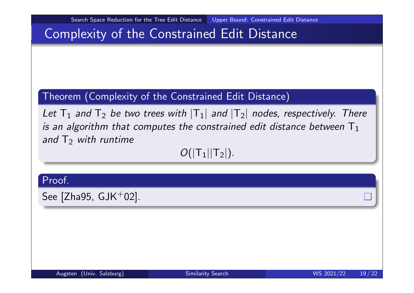## Complexity of the Constrained Edit Distance

#### Theorem (Complexity of the Constrained Edit Distance)

Let  $T_1$  and  $T_2$  be two trees with  $|T_1|$  and  $|T_2|$  nodes, respectively. There is an algorithm that computes the constrained edit distance between  $T_1$ and  $T_2$  with runtime

 $O(|T_1||T_2|).$ 

#### Proof.

See  $[Zha95, GJK^+02]$ .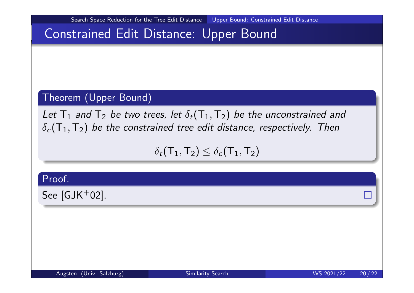Search Space Reduction for the Tree Edit Distance Upper Bound: Constrained Edit Distance

## Constrained Edit Distance: Upper Bound

#### Theorem (Upper Bound)

Let  ${\sf T}_1$  and  ${\sf T}_2$  be two trees, let  $\delta_t({\sf T}_1,{\sf T}_2)$  be the unconstrained and  $\delta_{\bm{c}}(\bm{\mathsf{T}}_1,\bm{\mathsf{T}}_2)$  be the constrained tree edit distance, respectively. Then

 $\delta_t(\mathsf{T}_1,\mathsf{T}_2) \leq \delta_c(\mathsf{T}_1,\mathsf{T}_2)$ 

Proof.

See  $[GJK^+02]$ .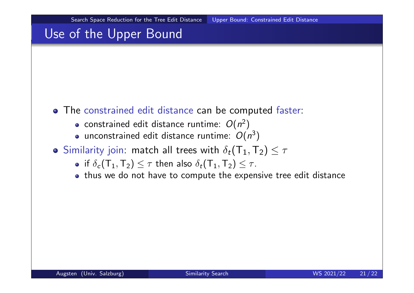## Use of the Upper Bound

- The constrained edit distance can be computed faster:
	- constrained edit distance runtime:  $O(n^2)$
	- unconstrained edit distance runtime:  $O(n^3)$
- Similarity join: match all trees with  $\delta_t(\mathsf{T}_1,\mathsf{T}_2) \leq \tau$ 
	- if  $\delta_c(\mathsf{T}_1,\mathsf{T}_2) \leq \tau$  then also  $\delta_t(\mathsf{T}_1,\mathsf{T}_2) \leq \tau$ .
	- thus we do not have to compute the expensive tree edit distance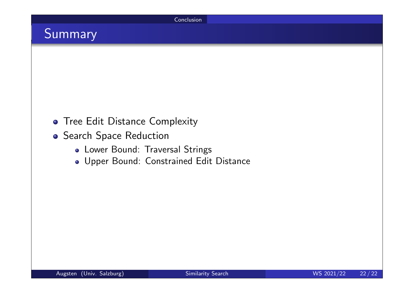Conclusion

## Summary

- **Tree Edit Distance Complexity**
- **Search Space Reduction** 
	- Lower Bound: Traversal Strings
	- Upper Bound: Constrained Edit Distance